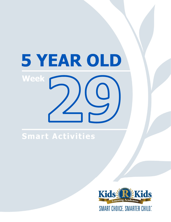# 5 YEAR OLD **Week**

# Smart Activities

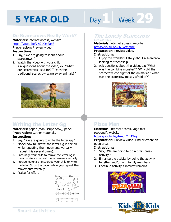# Day 1 Week 29

### **Do Scarecrows Really Work?**

**Materials:** internet access, website: https://youtu.be/7zt2DQpSab8

**Preparation:** Preview video. **Instructions:** 

- 1. Say, "We are going to learn about scarecrows!"
- 2. Watch the video with your child.
- 3. Ask questions about the video, ex. "What are scarecrows used for?" "Does the traditional scarecrow scare away animals?"



# **Writing the Letter Gg**

**Materials:** paper (manuscript book), pencil **Preparation:** Gather materials. **Instructions:** 

- 1. Say, "We are going to write the letter Gg."
- 2. Model how to "draw" the letter Gg in the air while repeating the movements verbally (repeat this several times).
- 3. Encourage your child to "draw" the letter Gg in the air while you repeat the movements verbally.
- 4. Provide materials. Encourage your child to write the letter Gg on the paper while you repeat the movements verbally.
- 5. Praise for effort!



#### **The Lonely Scarecrow by Tim Preston**

# **Materials:** internet access, website:

**https://youtu.be/86\_Vefnbfnk<br><b>Preparation:** Preview video.<br>**Instructions:**<br>1. Faisy this wonderful stary shout a se **Preparation:** Preview video. **Instructions:** 

- 1. Enjoy this wonderful story about a scarecrow looking for friendship.
- 2. Ask questions about the video, ex: "What was the combine monster?" "Why did the scarecrow lose sight of the animals?" "What was the scarecrow mostly afraid of?"



## **Pizza Man**

**Materials:** internet access, yoga mat (optional), website:

#### https://youtu.be/4rm0LYLz1Wg

**Preparation:** Preview video. Find or create an open area.

- 1. Say, "We are going to do a brain break activity!"
- 2. Enhance the activity by doing the activity together and/or with family members.
- 3. Continue activity if interest remains.



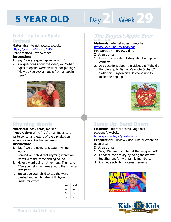# **Day 2 | Week 29**

### **Field Trip to an Apple Orchard**

**Materials:** internet access, website: https://youtu.be/vUoc7j73iK4 **Preparation:** Preview video.

- **Instructions:**
- 1. Say, "We are going apple picking!"
- 2. Ask questions about the video, ex. "What types of apples were available for picking?" "How do you pick an apple from an apple tree?"



### **Rhyming Words**

**Materials:** index cards, marker

**Preparation:** Write " et" on an index card. Write consonant letters of the alphabet on separate cards. Gather materials.

#### **Instructions:**

- 1. Say, "We are going to create rhyming words!"
- 2. Remind your child that rhyming words are words with the same ending sound.
- 3. Make a word using \_et, ex: bet. Then say, "Can you help me make a word that rhymes with bet?"
- 4. Encourage your child to say the word created and ask him/her if it rhymes.
- 5. Praise for effort.

| mat |
|-----|
| pat |
| rat |
| sat |
|     |

#### **The Biggest Apple Ever by Steve Kroll**

#### **Materials:** internet access, website: https://youtu.be/EyxXykPZdac

**1**<br>**1**<br>**1999 - Android Diversity Android Diversity**<br>**1999 - Android Diversity Android Diversity**<br>1999 - Android Diversity Android Diversity **Preparation:** Preview video. **Instructions:** 

- 1. Enjoy this wonderful story about an apple contest!
- 2. Ask questions about the video, ex: "Why did the class go to Barnaby's Apple Orchard?" "What did Clayton and Desmond use to make the apple pie?"



## **Jump Up! Bend Down!**

**Materials:** internet access, yoga mat (optional), website:

#### https://youtu.be/X7jSWdnoshw

**Preparation:** Preview video. Find or create an open area.

- 1. Say, "We are going to get the wiggles out!"
- 2. Enhance the activity by doing the activity together and/or with family members.
- 3. Continue activity if interest remains.



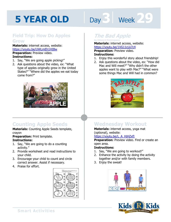# **Day 3** Week 29

#### **Field Trip: How Do Apples Grow**

**Materials:** internet access, website: https://youtu.be/UWLmEh1HIBw **Preparation: Preview video. Instructions:** 

- 1. Say, "We are going apple picking!"
- 2. Ask questions about the video, ex: "What type of apples originally grew in the United States?" "Where did the apples we eat today come from?"



# **Counting Apple Seeds**

**Materials:** Counting Apple Seeds template, crayon

**Preparation:** Print template.

#### **Instructions:**

- 1. Say, "We are going to do a counting activity."
- 2. Provide worksheet and read instructions to your child.
- 3. Encourage your child to count and circle correct answer. Assist if necessary.
- 4. Praise for effort.



## **The Bad Apple**

**by Edward Hemingway Materials:** internet access, website:

**https://youtu.be/1VG11cLk7c4<br><b>Preparation:** Preview video.<br>**Instructions:**<br>1 Faisy this wonderful stary shout fries **Preparation:** Preview video. **Instructions:** 

- 1. Enjoy this wonderful story about friendship!
- 2. Ask questions about the video, ex: "How did Mac and Will meet?" "Why didn't the other apples want to play with Mac?" "What were some things Mac and Will had in common?



# **Wednesday Workout**

**Materials:** internet access, yoga mat (optional), website:

#### https://youtu.be/L\_A\_HjHZxfI

**Preparation:** Preview video. Find or create an open area.

- 1. Say, "We are going to workout!"
- 2. Enhance the activity by doing the activity together and/or with family members.
- 3. Enjoy the sweat!



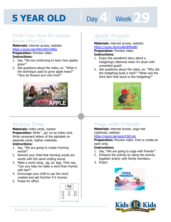# Day 4 **Week** 29

### **Field Trip: How Do Apples Grow (Part II)**

**Materials:** internet access, website: https://youtu.be/UWLmEh1HIBw **Preparation:** Preview video.

#### **Instructions:**

- 1. Say, "We are continuing to learn how apples grow!"
- 2. Ask questions about the video, ex: "What is the technique used to grow apple trees?" "How do flowers turn into fruit?"



### **Rhyme Time**

#### **Materials:** index cards, marker

**Preparation:** Write " ag" on an index card. Write consonant letters of the alphabet on separate cards. Gather materials.

#### **Instructions:**

- 1. Say, "We are going to create rhyming words!"
- 2. Remind your child that rhyming words are words with the same ending sound.
- 3. Make a word using \_ag, ex: bag. Then say, "Can you help me make a word that rhymes with bet?"
- 4. Encourage your child to say the word created and ask him/her if it rhymes.
- 5. Praise for effort.



### **Apple Trouble**

**by Ragnhild Seamell (Part I) Materials:** internet access, website:

**https://youtu.be/KyoBodM9w80<br><b>Preparation:** Preview video.<br>**Instructions:**<br>1 Faisy this worderful stary shout a **Preparation:** Preview video. **Instructions:** 

- 1. Enjoy this wonderful story about a hedgehog's dilemma when it's stuck with unwanted guest!
- 2. Ask questions about the video, ex: "Why did the hedgehog build a nest?" "What was the third item that stuck to the hedgehog?"



# **Yoga with Friends**

**Materials:** internet access, yoga mat (optional), website:

#### https://youtu.be/vpUqY2bCcxk

**Preparation:** Preview video. Find or create an open area.

- 1. Say, "We are going to yoga with friends!"
- 2. Enhance the activity by doing the activity together and/or with family members.
- 3. Enjoy!



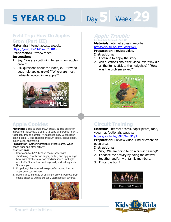# **Day 5 Week 24**

### **Field Trip: How Do Apples Grow (Part III)**

**Materials:** internet access, website: https://youtu.be/UWLmEh1HIBw **Preparation:** Preview video.

#### **Instructions:**

- 1. Say, "We are continuing to learn how apples grow!"
- 2. Ask questions about the video, ex: "How do bees help apples grow?" "Where are most nutrients located in an apple?"



### **Apple Cookies**

**Materials:** 1 cup packed brown sugar, ½ cup butter or margarine (softened), 1 egg, 1 1/2 cups all-purpose flour, 1 teaspoon ground nutmeg, ½ teaspoon salt, ½ teaspoon baking soda, 1 cup chopped medium apple, cookie sheet, mixer, oven, shortening

#### **Preparation:** Gather ingredients. Prepare area. Wash hands prior and after activity.

#### **Instructions:**

- 1. Heat oven to 375°. Grease cookie sheet with shortening. Beat brown sugar, butter, and egg in large bowl with electric mixer on medium speed until light and fluffy. Stir in flour, nutmeg, salt, and baking soda. Stir in apple.
- 2. Drop dough by rounded teaspoonfuls about 2 inches apart onto cookie sheet.
- 3. Bake 8 to 10 minutes or until light brown. Remove from cookie sheet to wire rack; cool. Store loosely covered.



### **Apple Trouble**

**by Ragnhild Seamell (Part II) Materials:** internet access, website:

https://youtu.be/KyoBodM9w80<br>**Preparation:** Preview video.<br>**Instructions:**<br>1. Continue to enjoy the stary. **Preparation:** Preview video. **Instructions:** 

- 1. Continue to enjoy the story.
- 2. Ask questions about the video, ex: "Why did all the items stick to the hedgehog?" "How was the problem solved?"



# **Circuit Training**

**Materials:** internet access, paper plates, tape, yoga mat (optional), website:

#### https://youtu.be/S9Yd9eV3RqQ

**Preparation:** Preview video. Find or create an open area.

- 1. Say, "We are going to do a circuit training!"
- 2. Enhance the activity by doing the activity together and/or with family members.
- 3. Enjoy the burn!